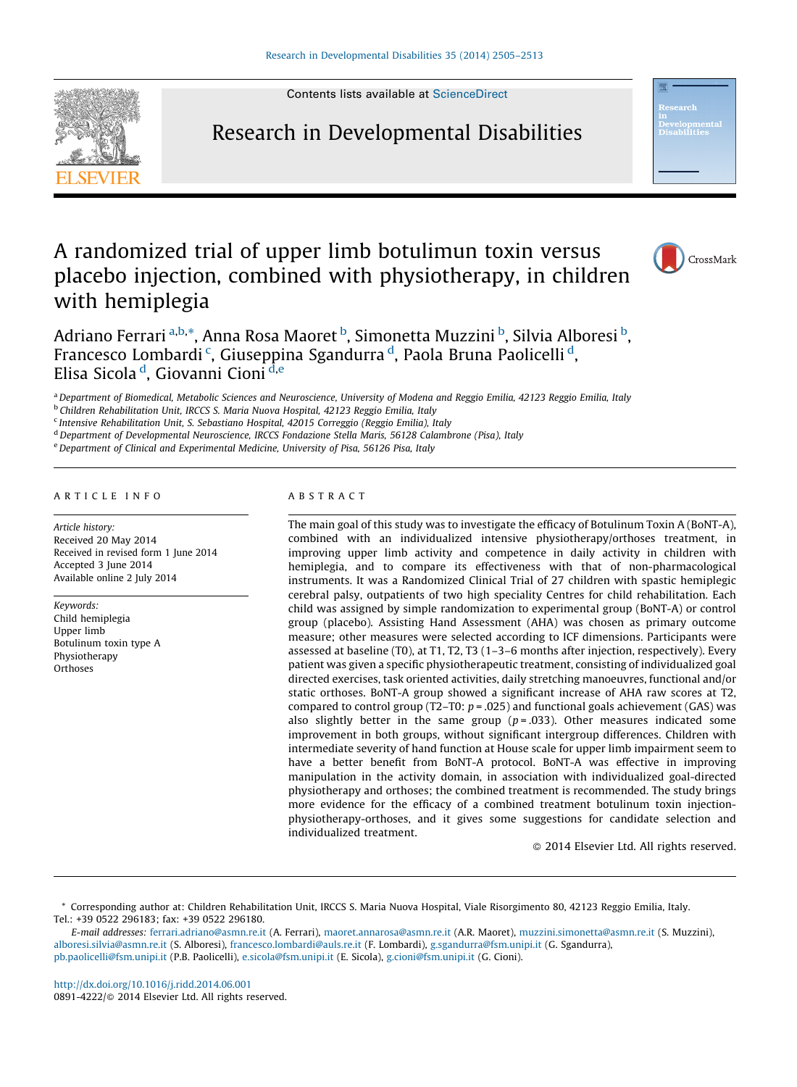Contents lists available at [ScienceDirect](http://www.sciencedirect.com/science/journal/08914222)



# Research in Developmental Disabilities



# A randomized trial of upper limb botulimun toxin versus placebo injection, combined with physiotherapy, in children with hemiplegia

Adriano Ferrari <sup>a,b,</sup>\*, Anna Rosa Maoret <sup>b</sup>, Simonetta Muzzini <sup>b</sup>, Silvia Alboresi <sup>b</sup>, Francesco Lombardi <sup>c</sup>, Giuseppina Sgandurra <sup>d</sup>, Paola Bruna Paolicelli <sup>d</sup>, Elisa Sicola <sup>d</sup>, Giovanni Cioni <sup>d,e</sup>

a Department of Biomedical, Metabolic Sciences and Neuroscience, University of Modena and Reggio Emilia, 42123 Reggio Emilia, Italy

<sup>b</sup> Children Rehabilitation Unit, IRCCS S. Maria Nuova Hospital, 42123 Reggio Emilia, Italy

<sup>c</sup> Intensive Rehabilitation Unit, S. Sebastiano Hospital, 42015 Correggio (Reggio Emilia), Italy

<sup>d</sup> Department of Developmental Neuroscience, IRCCS Fondazione Stella Maris, 56128 Calambrone (Pisa), Italy

e Department of Clinical and Experimental Medicine, University of Pisa, 56126 Pisa, Italy

#### A R T I C L E I N F O

Article history: Received 20 May 2014 Received in revised form 1 June 2014 Accepted 3 June 2014 Available online 2 July 2014

Keywords: Child hemiplegia Upper limb Botulinum toxin type A Physiotherapy **Orthoses** 

# A B S T R A C T

The main goal of this study was to investigate the efficacy of Botulinum Toxin A (BoNT-A), combined with an individualized intensive physiotherapy/orthoses treatment, in improving upper limb activity and competence in daily activity in children with hemiplegia, and to compare its effectiveness with that of non-pharmacological instruments. It was a Randomized Clinical Trial of 27 children with spastic hemiplegic cerebral palsy, outpatients of two high speciality Centres for child rehabilitation. Each child was assigned by simple randomization to experimental group (BoNT-A) or control group (placebo). Assisting Hand Assessment (AHA) was chosen as primary outcome measure; other measures were selected according to ICF dimensions. Participants were assessed at baseline (T0), at T1, T2, T3 (1–3–6 months after injection, respectively). Every patient was given a specific physiotherapeutic treatment, consisting of individualized goal directed exercises, task oriented activities, daily stretching manoeuvres, functional and/or static orthoses. BoNT-A group showed a significant increase of AHA raw scores at T2, compared to control group (T2–T0:  $p = .025$ ) and functional goals achievement (GAS) was also slightly better in the same group  $(p = .033)$ . Other measures indicated some improvement in both groups, without significant intergroup differences. Children with intermediate severity of hand function at House scale for upper limb impairment seem to have a better benefit from BoNT-A protocol. BoNT-A was effective in improving manipulation in the activity domain, in association with individualized goal-directed physiotherapy and orthoses; the combined treatment is recommended. The study brings more evidence for the efficacy of a combined treatment botulinum toxin injectionphysiotherapy-orthoses, and it gives some suggestions for candidate selection and individualized treatment.

- 2014 Elsevier Ltd. All rights reserved.

\* Corresponding author at: Children Rehabilitation Unit, IRCCS S. Maria Nuova Hospital, Viale Risorgimento 80, 42123 Reggio Emilia, Italy. Tel.: +39 0522 296183; fax: +39 0522 296180.

E-mail addresses: [ferrari.adriano@asmn.re.it](mailto:ferrari.adriano@asmn.re.it) (A. Ferrari), [maoret.annarosa@asmn.re.it](mailto:maoret.annarosa@asmn.re.it) (A.R. Maoret), [muzzini.simonetta@asmn.re.it](mailto:muzzini.simonetta@asmn.re.it) (S. Muzzini), [alboresi.silvia@asmn.re.it](mailto:alboresi.silvia@asmn.re.it) (S. Alboresi), [francesco.lombardi@auls.re.it](mailto:francesco.lombardi@auls.re.it) (F. Lombardi), [g.sgandurra@fsm.unipi.it](mailto:g.sgandurra@fsm.unipi.it) (G. Sgandurra), [pb.paolicelli@fsm.unipi.it](mailto:pb.paolicelli@fsm.unipi.it) (P.B. Paolicelli), [e.sicola@fsm.unipi.it](mailto:e.sicola@fsm.unipi.it) (E. Sicola), [g.cioni@fsm.unipi.it](mailto:g.cioni@fsm.unipi.it) (G. Cioni).

<http://dx.doi.org/10.1016/j.ridd.2014.06.001> 0891-4222/© 2014 Elsevier Ltd. All rights reserved.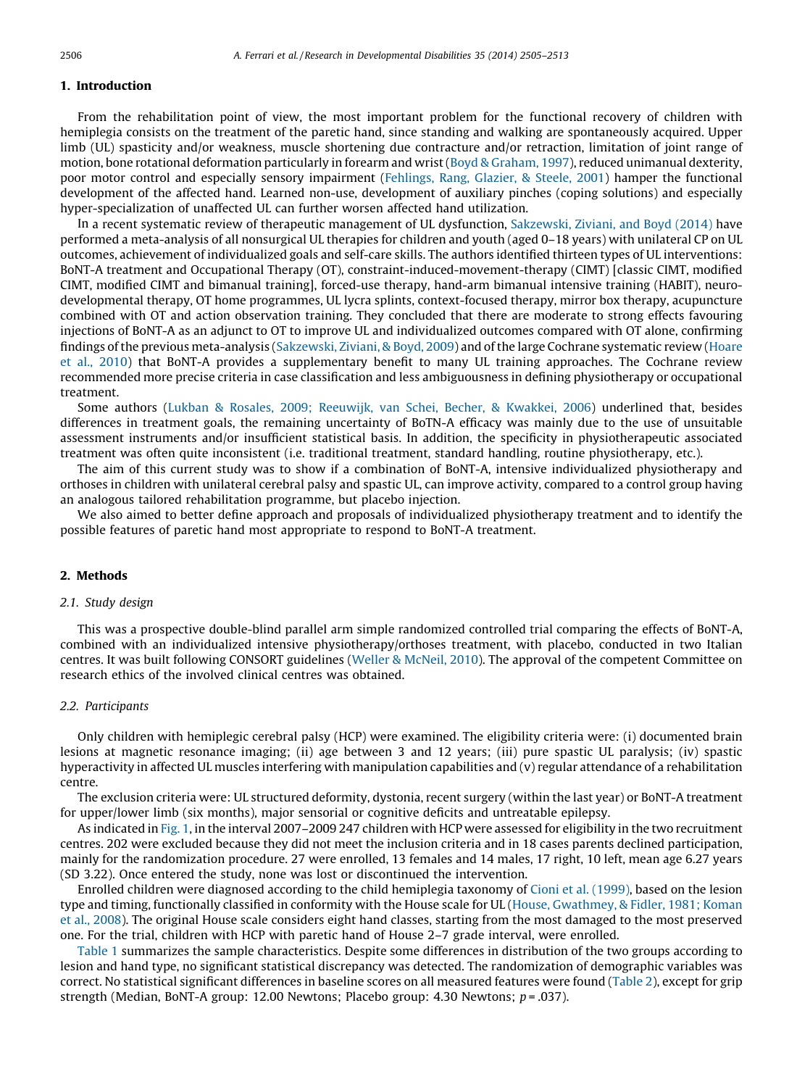# 1. Introduction

From the rehabilitation point of view, the most important problem for the functional recovery of children with hemiplegia consists on the treatment of the paretic hand, since standing and walking are spontaneously acquired. Upper limb (UL) spasticity and/or weakness, muscle shortening due contracture and/or retraction, limitation of joint range of motion, bone rotational deformation particularly in forearm and wrist (Boyd & [Graham,](#page-8-0) 1997), reduced unimanual dexterity, poor motor control and especially sensory impairment [\(Fehlings,](#page-8-0) Rang, Glazier, & Steele, 2001) hamper the functional development of the affected hand. Learned non-use, development of auxiliary pinches (coping solutions) and especially hyper-specialization of unaffected UL can further worsen affected hand utilization.

In a recent systematic review of therapeutic management of UL dysfunction, [Sakzewski,](#page-8-0) Ziviani, and Boyd (2014) have performed a meta-analysis of all nonsurgical UL therapies for children and youth (aged 0–18 years) with unilateral CP on UL outcomes, achievement of individualized goals and self-care skills. The authors identified thirteen types of UL interventions: BoNT-A treatment and Occupational Therapy (OT), constraint-induced-movement-therapy (CIMT) [classic CIMT, modified CIMT, modified CIMT and bimanual training], forced-use therapy, hand-arm bimanual intensive training (HABIT), neurodevelopmental therapy, OT home programmes, UL lycra splints, context-focused therapy, mirror box therapy, acupuncture combined with OT and action observation training. They concluded that there are moderate to strong effects favouring injections of BoNT-A as an adjunct to OT to improve UL and individualized outcomes compared with OT alone, confirming findings ofthe previous meta-analysis ([Sakzewski,](#page-8-0) Ziviani, & Boyd, 2009) and ofthe large Cochrane systematic review ([Hoare](#page-8-0) et al., [2010](#page-8-0)) that BoNT-A provides a supplementary benefit to many UL training approaches. The Cochrane review recommended more precise criteria in case classification and less ambiguousness in defining physiotherapy or occupational treatment.

Some authors (Lukban & Rosales, 2009; [Reeuwijk,](#page-8-0) van Schei, Becher, & Kwakkei, 2006) underlined that, besides differences in treatment goals, the remaining uncertainty of BoTN-A efficacy was mainly due to the use of unsuitable assessment instruments and/or insufficient statistical basis. In addition, the specificity in physiotherapeutic associated treatment was often quite inconsistent (i.e. traditional treatment, standard handling, routine physiotherapy, etc.).

The aim of this current study was to show if a combination of BoNT-A, intensive individualized physiotherapy and orthoses in children with unilateral cerebral palsy and spastic UL, can improve activity, compared to a control group having an analogous tailored rehabilitation programme, but placebo injection.

We also aimed to better define approach and proposals of individualized physiotherapy treatment and to identify the possible features of paretic hand most appropriate to respond to BoNT-A treatment.

## 2. Methods

## 2.1. Study design

This was a prospective double-blind parallel arm simple randomized controlled trial comparing the effects of BoNT-A, combined with an individualized intensive physiotherapy/orthoses treatment, with placebo, conducted in two Italian centres. It was built following CONSORT guidelines (Weller & [McNeil,](#page-8-0) 2010). The approval of the competent Committee on research ethics of the involved clinical centres was obtained.

#### 2.2. Participants

Only children with hemiplegic cerebral palsy (HCP) were examined. The eligibility criteria were: (i) documented brain lesions at magnetic resonance imaging; (ii) age between 3 and 12 years; (iii) pure spastic UL paralysis; (iv) spastic hyperactivity in affected UL muscles interfering with manipulation capabilities and (v) regular attendance of a rehabilitation centre.

The exclusion criteria were: UL structured deformity, dystonia, recent surgery (within the last year) or BoNT-A treatment for upper/lower limb (six months), major sensorial or cognitive deficits and untreatable epilepsy.

As indicated in [Fig.](#page-2-0) 1, in the interval 2007–2009 247 children with HCP were assessed for eligibility in the two recruitment centres. 202 were excluded because they did not meet the inclusion criteria and in 18 cases parents declined participation, mainly for the randomization procedure. 27 were enrolled, 13 females and 14 males, 17 right, 10 left, mean age 6.27 years (SD 3.22). Once entered the study, none was lost or discontinued the intervention.

Enrolled children were diagnosed according to the child hemiplegia taxonomy of Cioni et al. [\(1999\)](#page-8-0), based on the lesion type and timing, functionally classified in conformity with the House scale for UL (House, [Gwathmey,](#page-8-0) & Fidler, 1981; Koman et al., [2008\)](#page-8-0). The original House scale considers eight hand classes, starting from the most damaged to the most preserved one. For the trial, children with HCP with paretic hand of House 2–7 grade interval, were enrolled.

[Table](#page-2-0) 1 summarizes the sample characteristics. Despite some differences in distribution of the two groups according to lesion and hand type, no significant statistical discrepancy was detected. The randomization of demographic variables was correct. No statistical significant differences in baseline scores on all measured features were found ([Table](#page-3-0) 2), except for grip strength (Median, BoNT-A group: 12.00 Newtons; Placebo group: 4.30 Newtons;  $p = .037$ ).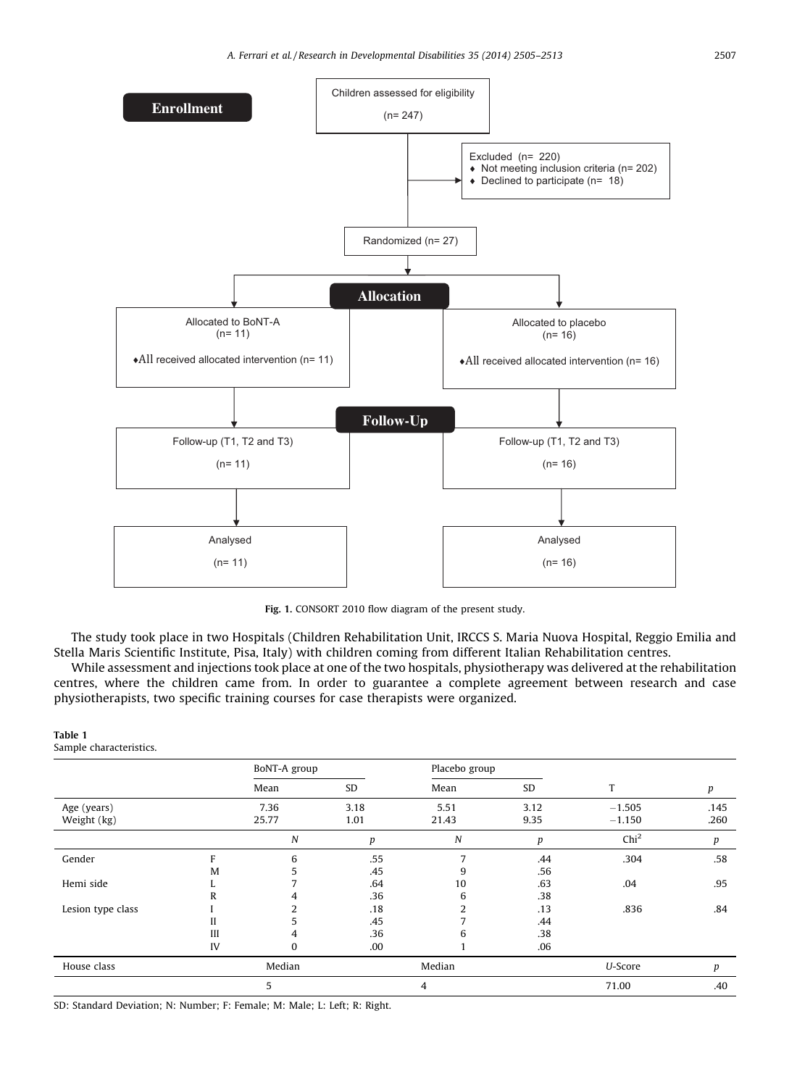<span id="page-2-0"></span>

Fig. 1. CONSORT 2010 flow diagram of the present study.

The study took place in two Hospitals (Children Rehabilitation Unit, IRCCS S. Maria Nuova Hospital, Reggio Emilia and Stella Maris Scientific Institute, Pisa, Italy) with children coming from different Italian Rehabilitation centres.

While assessment and injections took place at one of the two hospitals, physiotherapy was delivered at the rehabilitation centres, where the children came from. In order to guarantee a complete agreement between research and case physiotherapists, two specific training courses for case therapists were organized.

## Table 1

Sample characteristics.

|                            |           | BoNT-A group      |              | Placebo group |              |                      |              |
|----------------------------|-----------|-------------------|--------------|---------------|--------------|----------------------|--------------|
|                            |           | Mean              | SD           | Mean          | SD           | T                    | p            |
| Age (years)<br>Weight (kg) |           | 7.36<br>25.77     | 3.18<br>1.01 | 5.51<br>21.43 | 3.12<br>9.35 | $-1.505$<br>$-1.150$ | .145<br>.260 |
|                            |           | $\boldsymbol{N}$  | p            | N             | p            | Chi <sup>2</sup>     | p            |
| Gender                     | F<br>M    | 6<br>כ            | .55<br>.45   | 9             | .44<br>.56   | .304                 | .58          |
| Hemi side                  | R         |                   | .64<br>.36   | 10<br>6       | .63<br>.38   | .04                  | .95          |
| Lesion type class          | H         | כ                 | .18<br>.45   |               | .13<br>.44   | .836                 | .84          |
|                            | III<br>IV | 4<br>$\mathbf{0}$ | .36<br>.00.  | 6             | .38<br>.06   |                      |              |
| House class                |           | Median            |              | Median        |              | U-Score              | p            |
|                            |           | 5                 |              | 4             |              | 71.00                | .40          |

SD: Standard Deviation; N: Number; F: Female; M: Male; L: Left; R: Right.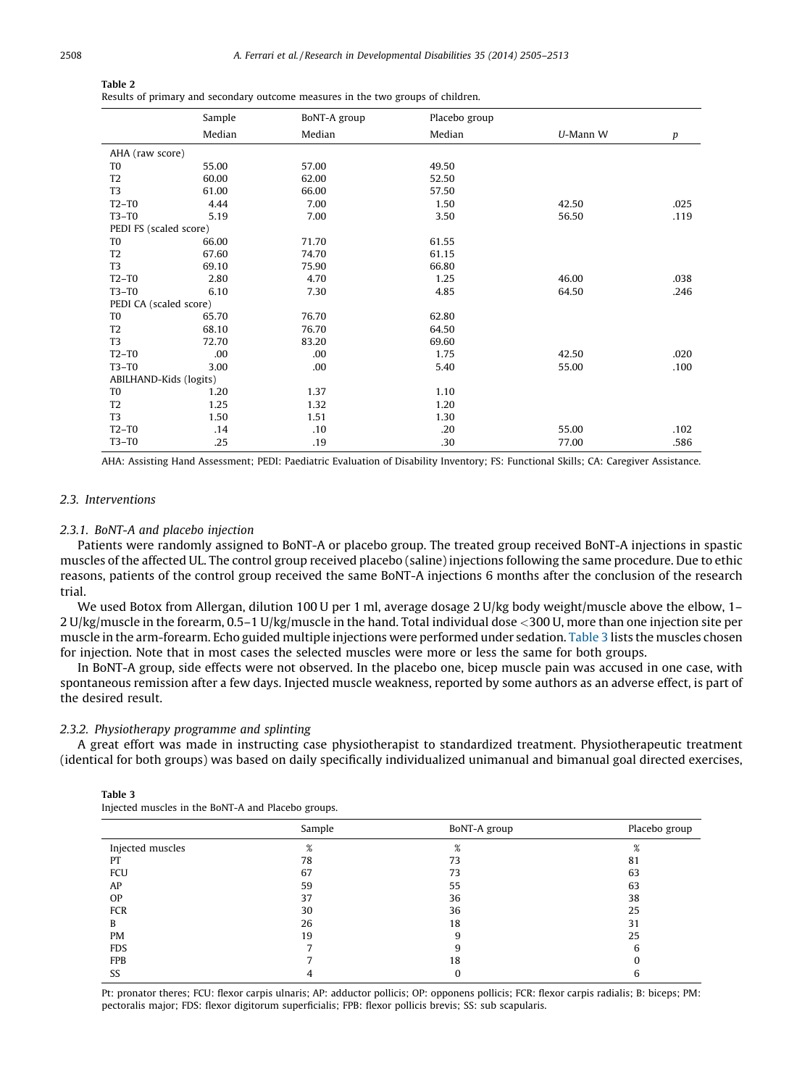| Results of primary and secondary outcome measures in the two groups of children. |        |              |               |             |      |  |
|----------------------------------------------------------------------------------|--------|--------------|---------------|-------------|------|--|
|                                                                                  | Sample | BoNT-A group | Placebo group |             |      |  |
|                                                                                  | Median | Median       | Median        | $U$ -Mann W | p    |  |
| AHA (raw score)                                                                  |        |              |               |             |      |  |
| T <sub>0</sub>                                                                   | 55.00  | 57.00        | 49.50         |             |      |  |
| T <sub>2</sub>                                                                   | 60.00  | 62.00        | 52.50         |             |      |  |
| T <sub>3</sub>                                                                   | 61.00  | 66.00        | 57.50         |             |      |  |
| $T2-T0$                                                                          | 4.44   | 7.00         | 1.50          | 42.50       | .025 |  |
| $T3-T0$                                                                          | 5.19   | 7.00         | 3.50          | 56.50       | .119 |  |
| PEDI FS (scaled score)                                                           |        |              |               |             |      |  |
| T <sub>0</sub>                                                                   | 66.00  | 71.70        | 61.55         |             |      |  |
| T <sub>2</sub>                                                                   | 67.60  | 74.70        | 61.15         |             |      |  |
| T <sub>3</sub>                                                                   | 69.10  | 75.90        | 66.80         |             |      |  |
| $T2-T0$                                                                          | 2.80   | 4.70         | 1.25          | 46.00       | .038 |  |
| $T3-T0$                                                                          | 6.10   | 7.30         | 4.85          | 64.50       | .246 |  |
| PEDI CA (scaled score)                                                           |        |              |               |             |      |  |
| T <sub>0</sub>                                                                   | 65.70  | 76.70        | 62.80         |             |      |  |
| T <sub>2</sub>                                                                   | 68.10  | 76.70        | 64.50         |             |      |  |
| T <sub>3</sub>                                                                   | 72.70  | 83.20        | 69.60         |             |      |  |
| $T2-T0$                                                                          | .00    | .00          | 1.75          | 42.50       | .020 |  |
| $T3-T0$                                                                          | 3.00   | .00          | 5.40          | 55.00       | .100 |  |
| ABILHAND-Kids (logits)                                                           |        |              |               |             |      |  |
| T <sub>0</sub>                                                                   | 1.20   | 1.37         | 1.10          |             |      |  |
| T <sub>2</sub>                                                                   | 1.25   | 1.32         | 1.20          |             |      |  |
| T <sub>3</sub>                                                                   | 1.50   | 1.51         | 1.30          |             |      |  |
| $T2-T0$                                                                          | .14    | .10          | .20           | 55.00       | .102 |  |
| $T3-T0$                                                                          | .25    | .19          | .30           | 77.00       | .586 |  |

AHA: Assisting Hand Assessment; PEDI: Paediatric Evaluation of Disability Inventory; FS: Functional Skills; CA: Caregiver Assistance.

#### 2.3. Interventions

Table 3

### 2.3.1. BoNT-A and placebo injection

Patients were randomly assigned to BoNT-A or placebo group. The treated group received BoNT-A injections in spastic muscles of the affected UL. The control group received placebo (saline) injections following the same procedure. Due to ethic reasons, patients of the control group received the same BoNT-A injections 6 months after the conclusion of the research trial.

We used Botox from Allergan, dilution 100 U per 1 ml, average dosage 2 U/kg body weight/muscle above the elbow, 1-2 U/kg/muscle in the forearm, 0.5–1 U/kg/muscle in the hand. Total individual dose <300 U, more than one injection site per muscle in the arm-forearm. Echo guided multiple injections were performed under sedation. Table 3 lists the muscles chosen for injection. Note that in most cases the selected muscles were more or less the same for both groups.

In BoNT-A group, side effects were not observed. In the placebo one, bicep muscle pain was accused in one case, with spontaneous remission after a few days. Injected muscle weakness, reported by some authors as an adverse effect, is part of the desired result.

### 2.3.2. Physiotherapy programme and splinting

A great effort was made in instructing case physiotherapist to standardized treatment. Physiotherapeutic treatment (identical for both groups) was based on daily specifically individualized unimanual and bimanual goal directed exercises,

|                  | Sample | BoNT-A group | Placebo group |
|------------------|--------|--------------|---------------|
| Injected muscles | $\%$   | %            | %             |
| PT               | 78     | 73           | 81            |
| FCU              | 67     | 73           | 63            |
| AP               | 59     | 55           | 63            |
| <b>OP</b>        | 37     | 36           | 38            |
| <b>FCR</b>       | 30     | 36           | 25            |
| B                | 26     | 18           | 31            |
| PM               | 19     |              | 25            |
| <b>FDS</b>       |        |              | 6             |
| <b>FPB</b>       |        | 18           |               |
| SS               |        |              |               |

| .                                                  |  |  |  |  |
|----------------------------------------------------|--|--|--|--|
| Injected muscles in the BoNT-A and Placebo groups. |  |  |  |  |

Pt: pronator theres; FCU: flexor carpis ulnaris; AP: adductor pollicis; OP: opponens pollicis; FCR: flexor carpis radialis; B: biceps; PM: pectoralis major; FDS: flexor digitorum superficialis; FPB: flexor pollicis brevis; SS: sub scapularis.

<span id="page-3-0"></span>Table 2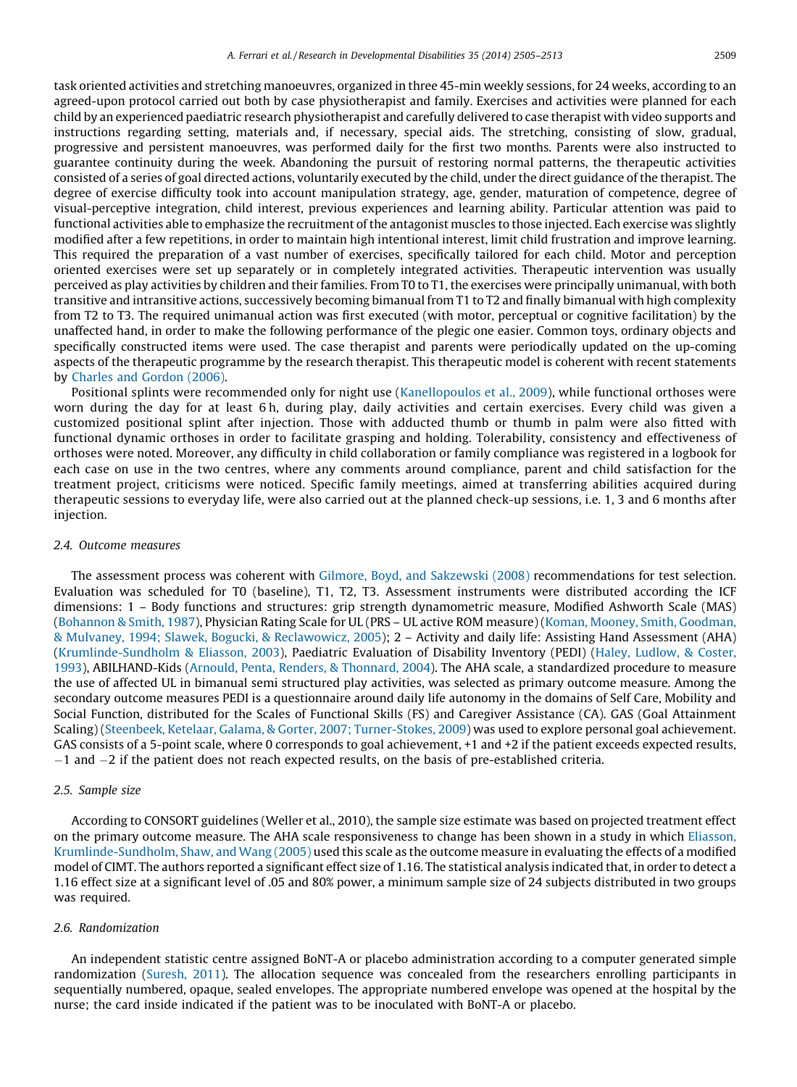task oriented activities and stretching manoeuvres, organized in three 45-min weekly sessions, for 24 weeks, according to an agreed-upon protocol carried out both by case physiotherapist and family. Exercises and activities were planned for each child by an experienced paediatric research physiotherapist and carefully delivered to case therapist with video supports and instructions regarding setting, materials and, if necessary, special aids. The stretching, consisting of slow, gradual, progressive and persistent manoeuvres, was performed daily for the first two months. Parents were also instructed to guarantee continuity during the week. Abandoning the pursuit of restoring normal patterns, the therapeutic activities consisted of a series of goal directed actions, voluntarily executed by the child, under the direct guidance of the therapist. The degree of exercise difficulty took into account manipulation strategy, age, gender, maturation of competence, degree of visual-perceptive integration, child interest, previous experiences and learning ability. Particular attention was paid to functional activities able to emphasize the recruitment of the antagonist muscles to those injected. Each exercise was slightly modified after a few repetitions, in order to maintain high intentional interest, limit child frustration and improve learning. This required the preparation of a vast number of exercises, specifically tailored for each child. Motor and perception oriented exercises were set up separately or in completely integrated activities. Therapeutic intervention was usually perceived as play activities by children and their families. From T0 to T1, the exercises were principally unimanual, with both transitive and intransitive actions, successively becoming bimanual from T1 to T2 and finally bimanual with high complexity from T2 to T3. The required unimanual action was first executed (with motor, perceptual or cognitive facilitation) by the unaffected hand, in order to make the following performance of the plegic one easier. Common toys, ordinary objects and specifically constructed items were used. The case therapist and parents were periodically updated on the up-coming aspects of the therapeutic programme by the research therapist. This therapeutic model is coherent with recent statements by Charles and [Gordon](#page-8-0) (2006).

Positional splints were recommended only for night use [\(Kanellopoulos](#page-8-0) et al., 2009), while functional orthoses were worn during the day for at least 6 h, during play, daily activities and certain exercises. Every child was given a customized positional splint after injection. Those with adducted thumb or thumb in palm were also fitted with functional dynamic orthoses in order to facilitate grasping and holding. Tolerability, consistency and effectiveness of orthoses were noted. Moreover, any difficulty in child collaboration or family compliance was registered in a logbook for each case on use in the two centres, where any comments around compliance, parent and child satisfaction for the treatment project, criticisms were noticed. Specific family meetings, aimed at transferring abilities acquired during therapeutic sessions to everyday life, were also carried out at the planned check-up sessions, i.e. 1, 3 and 6 months after injection.

#### 2.4. Outcome measures

The assessment process was coherent with Gilmore, Boyd, and [Sakzewski](#page-8-0) (2008) recommendations for test selection. Evaluation was scheduled for T0 (baseline), T1, T2, T3. Assessment instruments were distributed according the ICF dimensions: 1 – Body functions and structures: grip strength dynamometric measure, Modified Ashworth Scale (MAS) ([Bohannon](#page-8-0) & Smith, 1987), Physician Rating Scale for UL (PRS – UL active ROM measure) (Koman, Mooney, Smith, [Goodman,](#page-8-0) & Mulvaney, 1994; Slawek, Bogucki, & [Reclawowicz,](#page-8-0) 2005); 2 – Activity and daily life: Assisting Hand Assessment (AHA) ([Krumlinde-Sundholm](#page-8-0) & Eliasson, 2003), Paediatric Evaluation of Disability Inventory (PEDI) (Haley, [Ludlow,](#page-8-0) & Coster, [1993](#page-8-0)), ABILHAND-Kids (Arnould, Penta, Renders, & [Thonnard,](#page-8-0) 2004). The AHA scale, a standardized procedure to measure the use of affected UL in bimanual semi structured play activities, was selected as primary outcome measure. Among the secondary outcome measures PEDI is a questionnaire around daily life autonomy in the domains of Self Care, Mobility and Social Function, distributed for the Scales of Functional Skills (FS) and Caregiver Assistance (CA). GAS (Goal Attainment Scaling) (Steenbeek, Ketelaar, Galama, & Gorter, 2007; [Turner-Stokes,](#page-8-0) 2009) was used to explore personal goal achievement. GAS consists of a 5-point scale, where 0 corresponds to goal achievement,  $+1$  and  $+2$  if the patient exceeds expected results,  $-1$  and  $-2$  if the patient does not reach expected results, on the basis of pre-established criteria.

## 2.5. Sample size

According to CONSORT guidelines (Weller et al., 2010), the sample size estimate was based on projected treatment effect on the primary outcome measure. The AHA scale responsiveness to change has been shown in a study in which [Eliasson,](#page-8-0) [Krumlinde-Sundholm,](#page-8-0) Shaw, and Wang (2005) used this scale as the outcome measure in evaluating the effects of a modified model of CIMT. The authors reported a significant effect size of 1.16. The statistical analysis indicated that, in order to detect a 1.16 effect size at a significant level of .05 and 80% power, a minimum sample size of 24 subjects distributed in two groups was required.

#### 2.6. Randomization

An independent statistic centre assigned BoNT-A or placebo administration according to a computer generated simple randomization [\(Suresh,](#page-8-0) 2011). The allocation sequence was concealed from the researchers enrolling participants in sequentially numbered, opaque, sealed envelopes. The appropriate numbered envelope was opened at the hospital by the nurse; the card inside indicated if the patient was to be inoculated with BoNT-A or placebo.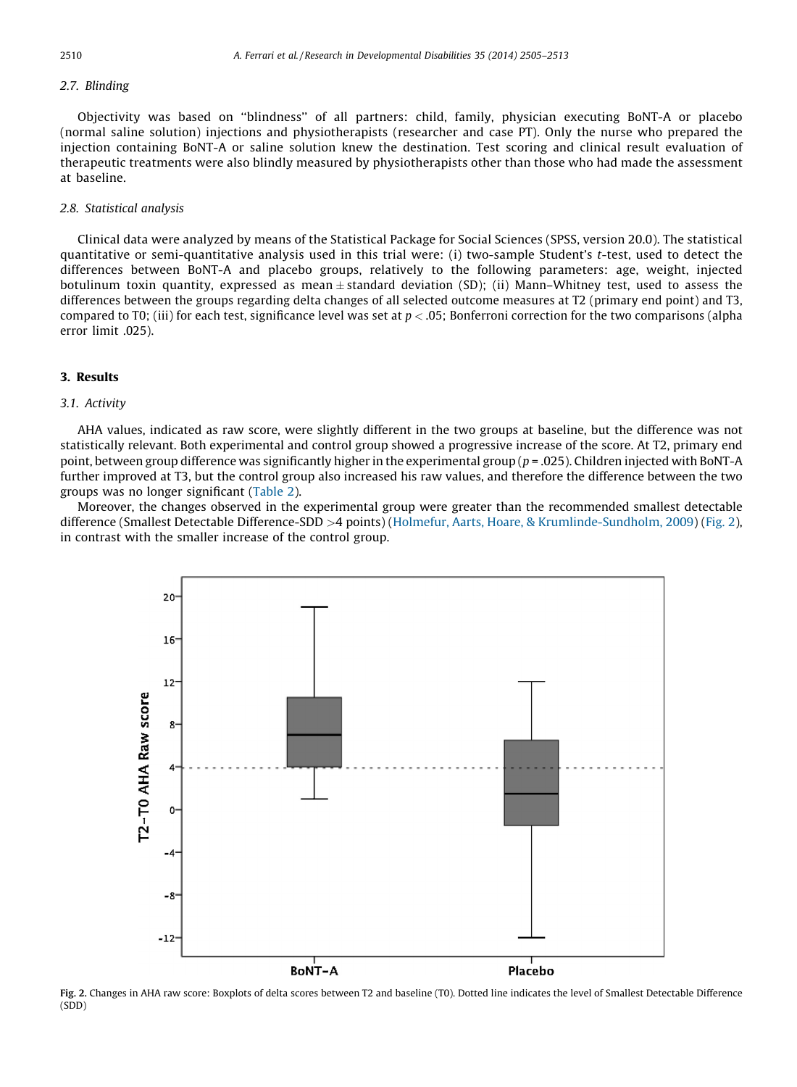# 2.7. Blinding

Objectivity was based on ''blindness'' of all partners: child, family, physician executing BoNT-A or placebo (normal saline solution) injections and physiotherapists (researcher and case PT). Only the nurse who prepared the injection containing BoNT-A or saline solution knew the destination. Test scoring and clinical result evaluation of therapeutic treatments were also blindly measured by physiotherapists other than those who had made the assessment at baseline.

## 2.8. Statistical analysis

Clinical data were analyzed by means of the Statistical Package for Social Sciences (SPSS, version 20.0). The statistical quantitative or semi-quantitative analysis used in this trial were: (i) two-sample Student's t-test, used to detect the differences between BoNT-A and placebo groups, relatively to the following parameters: age, weight, injected botulinum toxin quantity, expressed as mean  $\pm$  standard deviation (SD); (ii) Mann–Whitney test, used to assess the differences between the groups regarding delta changes of all selected outcome measures at T2 (primary end point) and T3, compared to T0; (iii) for each test, significance level was set at  $p < .05$ ; Bonferroni correction for the two comparisons (alpha error limit .025).

## 3. Results

## 3.1. Activity

AHA values, indicated as raw score, were slightly different in the two groups at baseline, but the difference was not statistically relevant. Both experimental and control group showed a progressive increase of the score. At T2, primary end point, between group difference was significantly higher in the experimental group ( $p = .025$ ). Children injected with BoNT-A further improved at T3, but the control group also increased his raw values, and therefore the difference between the two groups was no longer significant ([Table](#page-3-0) 2).

Moreover, the changes observed in the experimental group were greater than the recommended smallest detectable difference (Smallest Detectable Difference-SDD >4 points) (Holmefur, Aarts, Hoare, & [Krumlinde-Sundholm,](#page-8-0) 2009) (Fig. 2), in contrast with the smaller increase of the control group.



Fig. 2. Changes in AHA raw score: Boxplots of delta scores between T2 and baseline (T0). Dotted line indicates the level of Smallest Detectable Difference (SDD)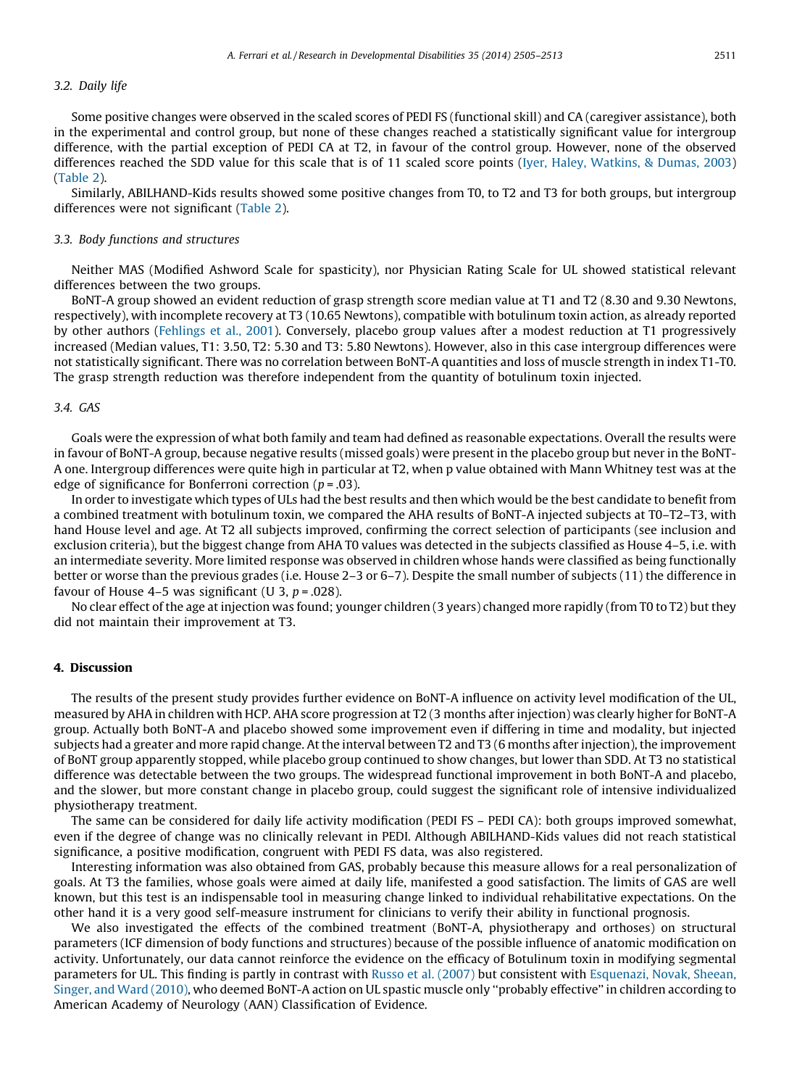# 3.2. Daily life

Some positive changes were observed in the scaled scores of PEDI FS (functional skill) and CA (caregiver assistance), both in the experimental and control group, but none of these changes reached a statistically significant value for intergroup difference, with the partial exception of PEDI CA at T2, in favour of the control group. However, none of the observed differences reached the SDD value for this scale that is of 11 scaled score points (Iyer, Haley, [Watkins,](#page-8-0) & Dumas, 2003) ([Table](#page-3-0) 2).

Similarly, ABILHAND-Kids results showed some positive changes from T0, to T2 and T3 for both groups, but intergroup differences were not significant [\(Table](#page-3-0) 2).

#### 3.3. Body functions and structures

Neither MAS (Modified Ashword Scale for spasticity), nor Physician Rating Scale for UL showed statistical relevant differences between the two groups.

BoNT-A group showed an evident reduction of grasp strength score median value at T1 and T2 (8.30 and 9.30 Newtons, respectively), with incomplete recovery at T3 (10.65 Newtons), compatible with botulinum toxin action, as already reported by other authors ([Fehlings](#page-8-0) et al., 2001). Conversely, placebo group values after a modest reduction at T1 progressively increased (Median values, T1: 3.50, T2: 5.30 and T3: 5.80 Newtons). However, also in this case intergroup differences were not statistically significant. There was no correlation between BoNT-A quantities and loss of muscle strength in index T1-T0. The grasp strength reduction was therefore independent from the quantity of botulinum toxin injected.

#### 3.4. GAS

Goals were the expression of what both family and team had defined as reasonable expectations. Overall the results were in favour of BoNT-A group, because negative results (missed goals) were present in the placebo group but never in the BoNT-A one. Intergroup differences were quite high in particular at T2, when p value obtained with Mann Whitney test was at the edge of significance for Bonferroni correction ( $p = .03$ ).

In order to investigate which types of ULs had the best results and then which would be the best candidate to benefit from a combined treatment with botulinum toxin, we compared the AHA results of BoNT-A injected subjects at T0–T2–T3, with hand House level and age. At T2 all subjects improved, confirming the correct selection of participants (see inclusion and exclusion criteria), but the biggest change from AHA T0 values was detected in the subjects classified as House 4–5, i.e. with an intermediate severity. More limited response was observed in children whose hands were classified as being functionally better or worse than the previous grades (i.e. House 2–3 or 6–7). Despite the small number of subjects (11) the difference in favour of House 4–5 was significant (U 3,  $p = .028$ ).

No clear effect of the age at injection was found; younger children (3 years) changed more rapidly (from T0 to T2) but they did not maintain their improvement at T3.

# 4. Discussion

The results of the present study provides further evidence on BoNT-A influence on activity level modification of the UL, measured by AHA in children with HCP. AHA score progression at T2 (3 months after injection) was clearly higher for BoNT-A group. Actually both BoNT-A and placebo showed some improvement even if differing in time and modality, but injected subjects had a greater and more rapid change. At the interval between T2 and T3 (6 months after injection), the improvement of BoNT group apparently stopped, while placebo group continued to show changes, but lower than SDD. At T3 no statistical difference was detectable between the two groups. The widespread functional improvement in both BoNT-A and placebo, and the slower, but more constant change in placebo group, could suggest the significant role of intensive individualized physiotherapy treatment.

The same can be considered for daily life activity modification (PEDI FS – PEDI CA): both groups improved somewhat, even if the degree of change was no clinically relevant in PEDI. Although ABILHAND-Kids values did not reach statistical significance, a positive modification, congruent with PEDI FS data, was also registered.

Interesting information was also obtained from GAS, probably because this measure allows for a real personalization of goals. At T3 the families, whose goals were aimed at daily life, manifested a good satisfaction. The limits of GAS are well known, but this test is an indispensable tool in measuring change linked to individual rehabilitative expectations. On the other hand it is a very good self-measure instrument for clinicians to verify their ability in functional prognosis.

We also investigated the effects of the combined treatment (BoNT-A, physiotherapy and orthoses) on structural parameters (ICF dimension of body functions and structures) because of the possible influence of anatomic modification on activity. Unfortunately, our data cannot reinforce the evidence on the efficacy of Botulinum toxin in modifying segmental parameters for UL. This finding is partly in contrast with Russo et al. [\(2007\)](#page-8-0) but consistent with [Esquenazi,](#page-8-0) Novak, Sheean, [Singer,](#page-8-0) and Ward (2010), who deemed BoNT-A action on UL spastic muscle only ''probably effective'' in children according to American Academy of Neurology (AAN) Classification of Evidence.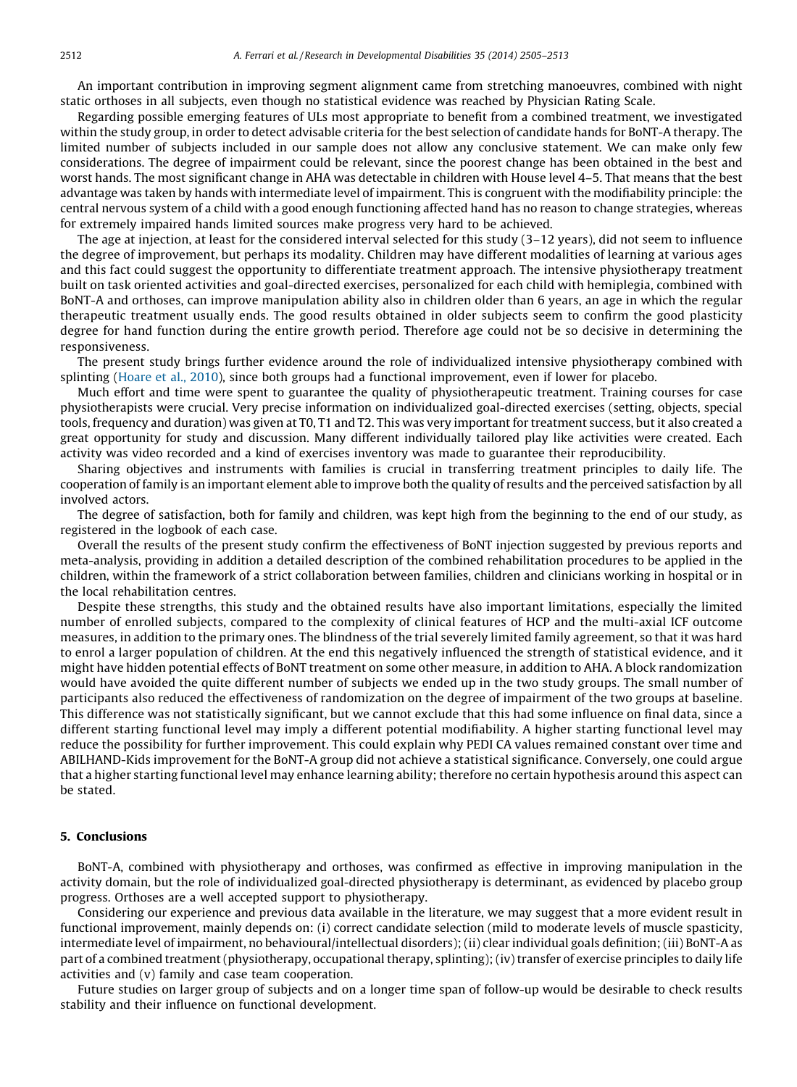An important contribution in improving segment alignment came from stretching manoeuvres, combined with night static orthoses in all subjects, even though no statistical evidence was reached by Physician Rating Scale.

Regarding possible emerging features of ULs most appropriate to benefit from a combined treatment, we investigated within the study group, in order to detect advisable criteria for the best selection of candidate hands for BoNT-A therapy. The limited number of subjects included in our sample does not allow any conclusive statement. We can make only few considerations. The degree of impairment could be relevant, since the poorest change has been obtained in the best and worst hands. The most significant change in AHA was detectable in children with House level 4–5. That means that the best advantage was taken by hands with intermediate level of impairment. This is congruent with the modifiability principle: the central nervous system of a child with a good enough functioning affected hand has no reason to change strategies, whereas for extremely impaired hands limited sources make progress very hard to be achieved.

The age at injection, at least for the considered interval selected for this study (3–12 years), did not seem to influence the degree of improvement, but perhaps its modality. Children may have different modalities of learning at various ages and this fact could suggest the opportunity to differentiate treatment approach. The intensive physiotherapy treatment built on task oriented activities and goal-directed exercises, personalized for each child with hemiplegia, combined with BoNT-A and orthoses, can improve manipulation ability also in children older than 6 years, an age in which the regular therapeutic treatment usually ends. The good results obtained in older subjects seem to confirm the good plasticity degree for hand function during the entire growth period. Therefore age could not be so decisive in determining the responsiveness.

The present study brings further evidence around the role of individualized intensive physiotherapy combined with splinting ([Hoare](#page-8-0) et al., 2010), since both groups had a functional improvement, even if lower for placebo.

Much effort and time were spent to guarantee the quality of physiotherapeutic treatment. Training courses for case physiotherapists were crucial. Very precise information on individualized goal-directed exercises (setting, objects, special tools, frequency and duration) was given at T0, T1 and T2. This was very important for treatment success, but it also created a great opportunity for study and discussion. Many different individually tailored play like activities were created. Each activity was video recorded and a kind of exercises inventory was made to guarantee their reproducibility.

Sharing objectives and instruments with families is crucial in transferring treatment principles to daily life. The cooperation of family is an important element able to improve both the quality of results and the perceived satisfaction by all involved actors.

The degree of satisfaction, both for family and children, was kept high from the beginning to the end of our study, as registered in the logbook of each case.

Overall the results of the present study confirm the effectiveness of BoNT injection suggested by previous reports and meta-analysis, providing in addition a detailed description of the combined rehabilitation procedures to be applied in the children, within the framework of a strict collaboration between families, children and clinicians working in hospital or in the local rehabilitation centres.

Despite these strengths, this study and the obtained results have also important limitations, especially the limited number of enrolled subjects, compared to the complexity of clinical features of HCP and the multi-axial ICF outcome measures, in addition to the primary ones. The blindness of the trial severely limited family agreement, so that it was hard to enrol a larger population of children. At the end this negatively influenced the strength of statistical evidence, and it might have hidden potential effects of BoNT treatment on some other measure, in addition to AHA. A block randomization would have avoided the quite different number of subjects we ended up in the two study groups. The small number of participants also reduced the effectiveness of randomization on the degree of impairment of the two groups at baseline. This difference was not statistically significant, but we cannot exclude that this had some influence on final data, since a different starting functional level may imply a different potential modifiability. A higher starting functional level may reduce the possibility for further improvement. This could explain why PEDI CA values remained constant over time and ABILHAND-Kids improvement for the BoNT-A group did not achieve a statistical significance. Conversely, one could argue that a higher starting functional level may enhance learning ability; therefore no certain hypothesis around this aspect can be stated.

## 5. Conclusions

BoNT-A, combined with physiotherapy and orthoses, was confirmed as effective in improving manipulation in the activity domain, but the role of individualized goal-directed physiotherapy is determinant, as evidenced by placebo group progress. Orthoses are a well accepted support to physiotherapy.

Considering our experience and previous data available in the literature, we may suggest that a more evident result in functional improvement, mainly depends on: (i) correct candidate selection (mild to moderate levels of muscle spasticity, intermediate level of impairment, no behavioural/intellectual disorders); (ii) clear individual goals definition; (iii) BoNT-A as part of a combined treatment (physiotherapy, occupational therapy, splinting); (iv) transfer of exercise principles to daily life activities and (v) family and case team cooperation.

Future studies on larger group of subjects and on a longer time span of follow-up would be desirable to check results stability and their influence on functional development.